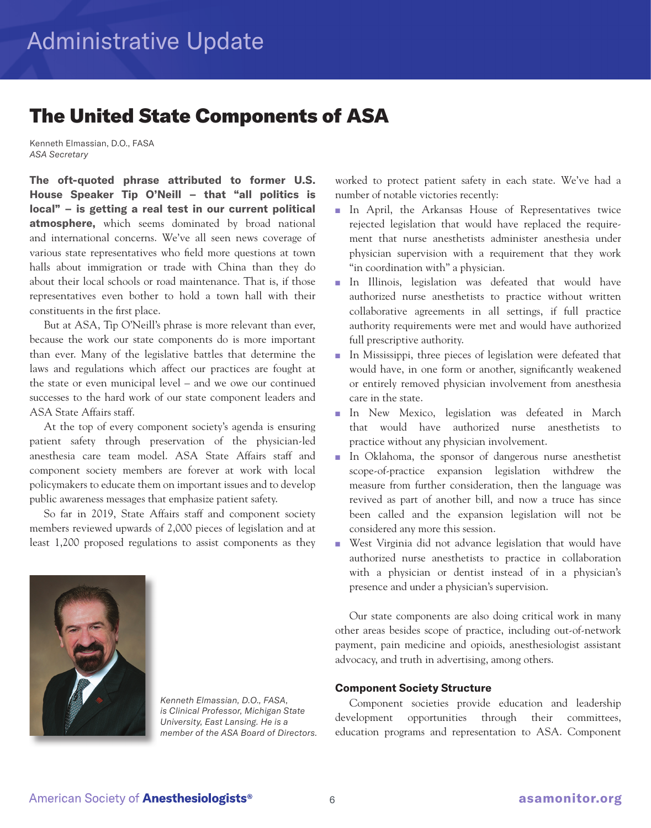## The United State Components of ASA

Kenneth Elmassian, D.O., FASA *ASA Secretary*

**The oft-quoted phrase attributed to former U.S. House Speaker Tip O'Neill – that "all politics is local" – is getting a real test in our current political atmosphere,** which seems dominated by broad national and international concerns. We've all seen news coverage of various state representatives who field more questions at town halls about immigration or trade with China than they do about their local schools or road maintenance. That is, if those representatives even bother to hold a town hall with their constituents in the first place.

 But at ASA, Tip O'Neill's phrase is more relevant than ever, because the work our state components do is more important than ever. Many of the legislative battles that determine the laws and regulations which affect our practices are fought at the state or even municipal level – and we owe our continued successes to the hard work of our state component leaders and ASA State Affairs staff.

 At the top of every component society's agenda is ensuring patient safety through preservation of the physician-led anesthesia care team model. ASA State Affairs staff and component society members are forever at work with local policymakers to educate them on important issues and to develop public awareness messages that emphasize patient safety.

 So far in 2019, State Affairs staff and component society members reviewed upwards of 2,000 pieces of legislation and at least 1,200 proposed regulations to assist components as they



*Kenneth Elmassian, D.O., FASA, is Clinical Professor, Michigan State University, East Lansing. He is a member of the ASA Board of Directors.* worked to protect patient safety in each state. We've had a number of notable victories recently:

- In April, the Arkansas House of Representatives twice rejected legislation that would have replaced the requirement that nurse anesthetists administer anesthesia under physician supervision with a requirement that they work "in coordination with" a physician.
- In Illinois, legislation was defeated that would have authorized nurse anesthetists to practice without written collaborative agreements in all settings, if full practice authority requirements were met and would have authorized full prescriptive authority.
- In Mississippi, three pieces of legislation were defeated that would have, in one form or another, significantly weakened or entirely removed physician involvement from anesthesia care in the state.
- In New Mexico, legislation was defeated in March that would have authorized nurse anesthetists to practice without any physician involvement.
- In Oklahoma, the sponsor of dangerous nurse anesthetist scope-of-practice expansion legislation withdrew the measure from further consideration, then the language was revived as part of another bill, and now a truce has since been called and the expansion legislation will not be considered any more this session.
- West Virginia did not advance legislation that would have authorized nurse anesthetists to practice in collaboration with a physician or dentist instead of in a physician's presence and under a physician's supervision.

 Our state components are also doing critical work in many other areas besides scope of practice, including out-of-network payment, pain medicine and opioids, anesthesiologist assistant advocacy, and truth in advertising, among others.

## **Component Society Structure**

 Component societies provide education and leadership development opportunities through their committees, education programs and representation to ASA. Component